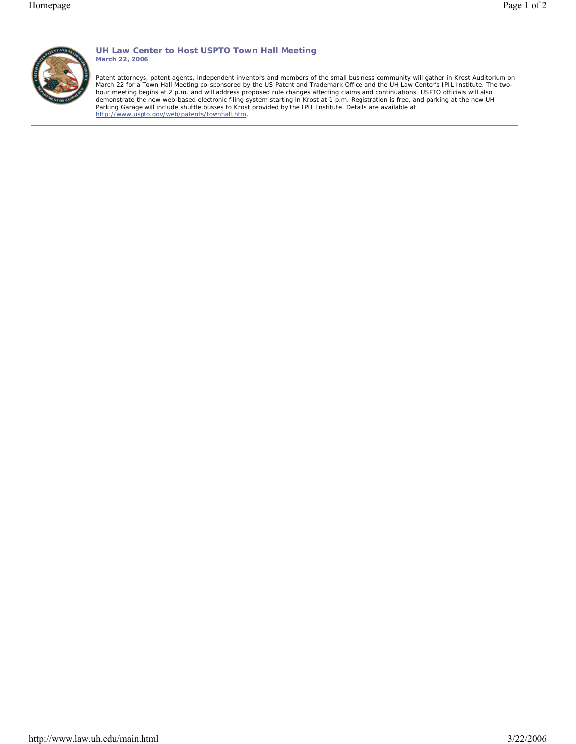

# **UH Law Center to Host USPTO Town Hall Meeting March 22, 2006**

Patent attorneys, patent agents, independent inventors and members of the small business community will gather in Krost Auditorium on March 22 for a Town Hall Meeting co-sponsored by the US Patent and Trademark Office and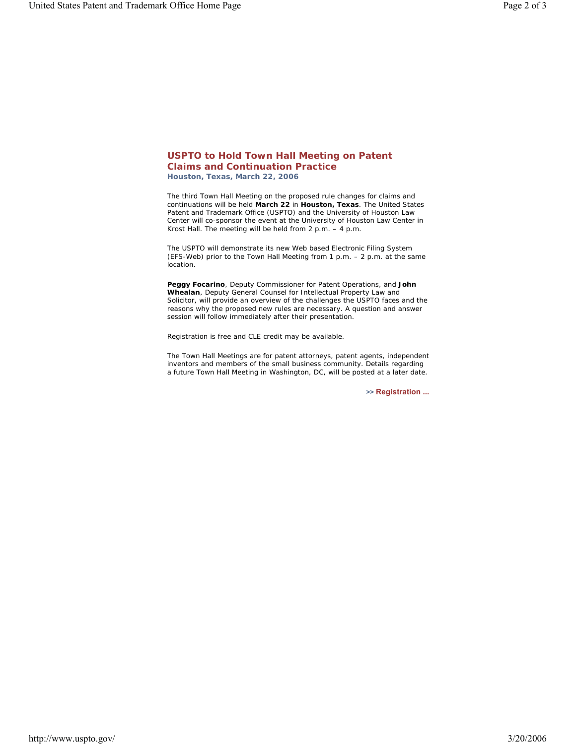### **USPTO to Hold Town Hall Meeting on Patent Claims and Continuation Practice**

*Houston, Texas, March 22, 2006* 

The third Town Hall Meeting on the proposed rule changes for claims and continuations will be held **March 22** in **Houston, Texas**. The United States Patent and Trademark Office (USPTO) and the University of Houston Law Center will co-sponsor the event at the University of Houston Law Center in Krost Hall. The meeting will be held from 2 p.m. – 4 p.m.

The USPTO will demonstrate its new Web based Electronic Filing System (EFS-Web) prior to the Town Hall Meeting from 1 p.m. – 2 p.m. at the same location.

**Peggy Focarino**, Deputy Commissioner for Patent Operations, and **John Whealan**, Deputy General Counsel for Intellectual Property Law and Solicitor, will provide an overview of the challenges the USPTO faces and the reasons why the proposed new rules are necessary. A question and answer session will follow immediately after their presentation.

Registration is free and CLE credit may be available.

The Town Hall Meetings are for patent attorneys, patent agents, independent inventors and members of the small business community. Details regarding a future Town Hall Meeting in Washington, DC, will be posted at a later date.

**>> Registration ...**